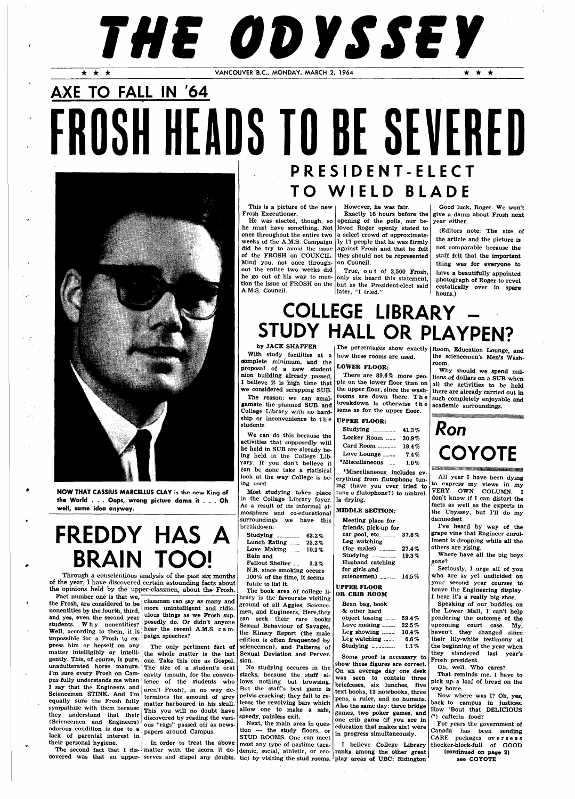# **THE ODYSSEY**

 $\lambda = \omega$ 

**• • •** VANCOUVER B.C., MONDAY, MARCH 2, 1964 **• • •** 

**TO WIEL D BLADE**  This is a picture of the new Frosh Executioner. He was elected, though, so opening of the polls, our be-

# **AXE TO FALL IN '64**  FROSH HEADS TO BE SEVERED **PRESIDENT-ELEC T**

# **FREDDY HAS A BRAIN TOC**

**NOW THAT CASSIUS MARCELLUS CLAY** is the new King **of the World . . . Oops, wrong picture damn it .. . Oh well, same idea anyway.** 

Through a conscientious analysis of the past six months of the year, I have discovered certain astounding facts about the opinions held by the upper-classmen, about the Frosh.

tion the issue of FROSH on the but as the President-elect said True, ou t of 3,500 Frosh, only six heard this statement, later, "I tried."

## **COLLEGE LIBRARY STUDY HALL OR PLAYPEN?**

once throughout the entire two weeks of the A.M.S. Campaign did he try to avoid the issue of the FROSH on COUNCIL. Mind you, not once throughout the entire two weeks did

he go out of his way to men-A.M.S. Council.

he must have something. Not loved Roger openly stated to a select crowd of approximately 17 people that he was firmly against Frosh and that he felt they should not be represented on Council.

However, he was fair. Exactly 16 hours before the

Good luck, Roger. We won't give a damn about Frosh next year either.

(Editors note: The size of the article and the picture is not comparable because the staff felt that the important thing was for everyone to have a beautifully appointed photograph of Roger to revel ecstatically over in spare

hours.)

### by JACK SHAFFER

The percentages show exactly Room, Education Lounge, and the sciencemen's Men's Washroom.

ple on the lower floor than on all the activities to be held Why should we spend millions of dollars on a SUB when there are already carried out in such completely enjoyable and academic surroundings.

With study facilities at a complete minimum, and the proposal of a new student nion building already passed, I believe it is high time that we considered scrapping SUB.

The reason: we can amalgamate the planned SUB and College Library with no hardship or inconvenience to th e students.

We can do this because the activities that supposedly will be held in SUB are already being held in the College Library. If you don't believe it can be done take a statisical look at the way College is being used.

Most studying takes place in the Collage Library foyer. As a result of its informal atmosphere and co-educational surroundings we have this breakdown:

| -------                                                                    |       |  |  |  |
|----------------------------------------------------------------------------|-------|--|--|--|
| Studying ________                                                          | 63.2% |  |  |  |
| Lunch Eating                                                               | 23.2% |  |  |  |
| Love Making $\overline{\phantom{a}}$                                       | 10.3% |  |  |  |
| Rain and                                                                   |       |  |  |  |
| Fallout Shelter __ 3.3%                                                    |       |  |  |  |
| N.B. since smoking occurs                                                  |       |  |  |  |
| 100% of the time, it seems                                                 |       |  |  |  |
| futile to list it.                                                         |       |  |  |  |
| $\mathbf{m}_{\mathbf{m}}$ , has been assessed as $\mathbf{m}_{\mathbf{m}}$ |       |  |  |  |

The book area of college li-

| Fact number one is that we.<br>the Frosh, are considered to be<br>nonentities by the fourth, third,<br>and yes, even the second year<br>students. Why nonentities?<br>Well, according to them, it is<br>impossible for a Frosh to ex-<br>press him or herself on any<br>unadulterated horse manure.<br>I'm sure every Frosh on Cam-<br>I say that the Engineers and<br>Sciencemen STINK. And I'm<br>equally sure the Frosh fully<br>sympathize with them because<br>they understand that their<br>(Sciencemen and Engineers)<br>odorous condition is due to a<br>lack of parental interest in<br>their personal hygiene. | classman can say as many and<br>more unintelligent and ridic-<br>ulous things as we Frosh sup-<br>posedly do. Or didn't anyone<br>hear the recent A.M.S. c a m-<br>paign speeches?<br>matter intelligibly or intelli- the whole matter is the last Sexual Deviation and Perver-<br>gently. This, of course, is pure, one. Take this one as Gospel.<br>The size of a student's oral<br>eavity (mouth, for the conven-<br>pus fully understands me when   ience of the students who<br>aren't Frosh), in no way de-<br>termines the amount of grey<br>matter harboured in his skull.<br>This you will no doubt have<br>discovered by reading the vari-<br>ous "rags" passed off as news-<br>papers around Campus.<br>In order to treat the above | The noon area of college ii-<br>brary is the favourate visiting<br>ground of all Aggies, Science-<br>men, and Eugineers, Here, they<br>can seek their rare books<br>Sexual Behaviour of Savages,<br>the Kinsey Report (the male<br>edition is often frequented by<br>The only pertinent fact of sciencemen), and Patterns of<br>sion.<br>No studying occures in the<br>stacks, because the staff al-<br>lows nothing but browsing.<br>But the staff's best game is<br>pelvis cracking; they fail to re-<br>lease the revolving bars which<br>allow one to make a safe,<br>speedy, painless exit.<br>Next, the main area in ques-<br>tion - the study floors, or<br>STUD ROOMS. One can meet<br>most any type of pastime (aca- | OR CRIB ROOM<br>Bean bag, book<br>& other hard<br>object tossing<br>$59.4\%$<br>Love making $\ldots$<br>$22.5\,\%$<br>Leg showing $\frac{1}{2}$<br>$10.4\,\%$<br>Leg watching $\ldots$<br>6.6%<br>Studying $\frac{1}{2}$<br>$1.1\%$<br>Some proof is necessary to<br>show these figures are correct.<br>On an average day one desk<br>was seen to contain three<br>briefceses, six lunches, five<br>text books, 13 notebooks, three<br>pens, a ruler, and no humans.<br>Also the same day: three bridge<br>games, two poker games, and<br>one crib game (if you are in<br>education that makes six) were<br>in progress simultaneously.<br>I believe College Library | I hear it's a really big shoe.<br>Speaking of our buddies on<br>the Lower Mall, I can't help<br>pondering the outcome of the<br>upcoming court case. My,<br>haven't they changed since<br>their lily-white testimony at<br>the beginning of the year when<br>they slandered last year's<br>Frosh president.<br>Oh, well. Who cares?<br>That reminds me, I have to<br>pick up a loaf of bread on the<br>way home.<br>Now where was I? Oh, yes,<br>back to campus in justices.<br>How 'Bout that DELICIOUS<br>$(?)$ cafteria food?<br>For years the government of<br>Canada has been sending<br>CARE packages overseas<br>chocker-block-full<br>of GOOD |
|--------------------------------------------------------------------------------------------------------------------------------------------------------------------------------------------------------------------------------------------------------------------------------------------------------------------------------------------------------------------------------------------------------------------------------------------------------------------------------------------------------------------------------------------------------------------------------------------------------------------------|------------------------------------------------------------------------------------------------------------------------------------------------------------------------------------------------------------------------------------------------------------------------------------------------------------------------------------------------------------------------------------------------------------------------------------------------------------------------------------------------------------------------------------------------------------------------------------------------------------------------------------------------------------------------------------------------------------------------------------------------|-------------------------------------------------------------------------------------------------------------------------------------------------------------------------------------------------------------------------------------------------------------------------------------------------------------------------------------------------------------------------------------------------------------------------------------------------------------------------------------------------------------------------------------------------------------------------------------------------------------------------------------------------------------------------------------------------------------------------------|----------------------------------------------------------------------------------------------------------------------------------------------------------------------------------------------------------------------------------------------------------------------------------------------------------------------------------------------------------------------------------------------------------------------------------------------------------------------------------------------------------------------------------------------------------------------------------------------------------------------------------------------------------------------|-------------------------------------------------------------------------------------------------------------------------------------------------------------------------------------------------------------------------------------------------------------------------------------------------------------------------------------------------------------------------------------------------------------------------------------------------------------------------------------------------------------------------------------------------------------------------------------------------------------------------------------------------------|
|                                                                                                                                                                                                                                                                                                                                                                                                                                                                                                                                                                                                                          |                                                                                                                                                                                                                                                                                                                                                                                                                                                                                                                                                                                                                                                                                                                                                |                                                                                                                                                                                                                                                                                                                                                                                                                                                                                                                                                                                                                                                                                                                               | The second fact that I dis- matter with the scorn it de- demic, social, athletic, or ero- ranks among the other great<br>covered was that an upper- serves and dispel any doubts. tic) by visiting the stud rooms. play areas of UBC: Ridington                                                                                                                                                                                                                                                                                                                                                                                                                      | (continued on page 2)<br>see COYOTE                                                                                                                                                                                                                                                                                                                                                                                                                                                                                                                                                                                                                   |
|                                                                                                                                                                                                                                                                                                                                                                                                                                                                                                                                                                                                                          |                                                                                                                                                                                                                                                                                                                                                                                                                                                                                                                                                                                                                                                                                                                                                |                                                                                                                                                                                                                                                                                                                                                                                                                                                                                                                                                                                                                                                                                                                               |                                                                                                                                                                                                                                                                                                                                                                                                                                                                                                                                                                                                                                                                      |                                                                                                                                                                                                                                                                                                                                                                                                                                                                                                                                                                                                                                                       |

how these rooms are used.

## LOWER FLOOR:

There are 89.6% more peothe upper floor, since the washrooms are down there. The breakdown is otherwise th e same as for the upper floor.

#### UPPER FLOOR:

| Studying         | 41.3%    |
|------------------|----------|
| Locker Room      | $30.9\%$ |
| Card Room        | 19.4%    |
| Love Lounge ____ | $7.4\%$  |
| *Miscellaneous   | $1.0\%$  |

•Miscellaneous includes everything from flutophone tuning (have you ever tried to tune a flutophone?) to umbrella drying.

#### MIDDLE SECTION:

| Meeting place for     |          |
|-----------------------|----------|
| friends, pick-up for  |          |
| car pool, etc.        | 37.8%    |
| Leg watching          |          |
| $(for \text{ males})$ | 27.4%    |
| Studying ________     | 19.3%    |
| Husband catching      |          |
| for girls and         |          |
| sciencemen) _____     | $14.5\%$ |
|                       |          |

UPPER FLOOR

**Ron COYOTE** 

All year I have been dying to express my views in my VERY OWN COLUMN. I don't know if I can distort the facts as well as the experts in the Ubyssey, but I'll do my damnedest.

I've heard by way of the grape vine that Engineer enrollment is dropping while all the others are rising.

Where have all the big boys gone?

Seriously, I urge all of you who are as yet undicided on your second year courses to brave the Engineering display.

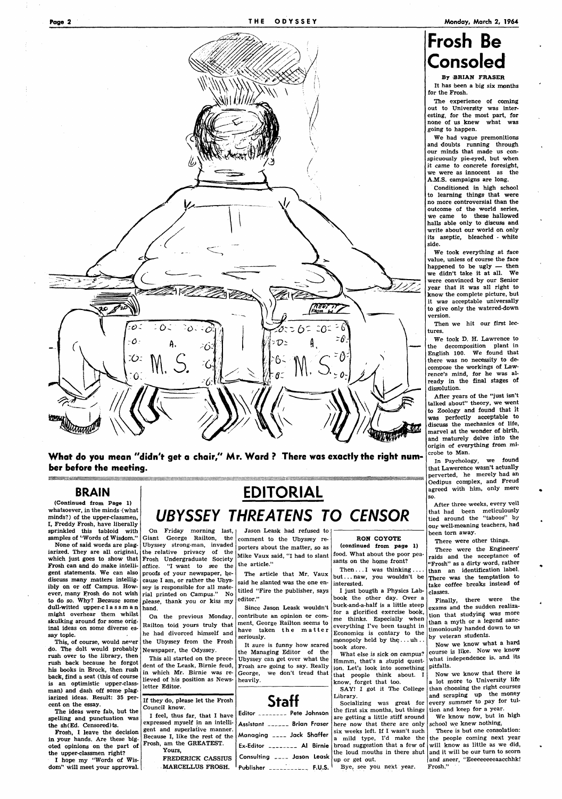

(Continued from Page 1) whatsoever, in the minds (what minds?) of the upper-classmen, I, Freddy Frosh, have liberally sprinkled this tabloid with samples of "Words of Wisdom."

**What do you mean "didn't get a chair," Mr. Ward ? There was exactly the right number before the meeting.** 

## **BRAIN**

None of said words are plag-Ubyssey strong-man, invaded iarized. They are all original, the relative privacy of the which just goes to show that Frosh Undergraduate Society Frosh can and do make intelli- office. "I want to see the gent statements. We can also proofs of your newspaper, be-On Friday morning last, Giant George Railton, the cause I am, or rather the Ubyssey is responsible for all material printed on Campus." No

discuss many matters intelligibly on or off Campus. However, many Frosh do not wish

## **EDITORIAL UBYSSEY THREATENS TO CENSOR**

food. What about the poor peasants on the home front? Then... I was thinking...

We had vague premonitions and doubts running through our minds that made us conspicuously pie-eyed, but when it came to concrete foresight, we were as innocent as the A.M.S. campaigns are long.

Jason Leask had refused to comment to the Ubyssey reporters about the matter, so as Mike Vaux said, "I had to slant the article."

The article that Mr. Vaux said he slanted was the one entitled "Fire the publisher, says

RON COYOTE (continued from page 1)

but.. . naw, you wouldn't be interested.

I just bougth a Physics Lab-

## **Frosh Be Consoled**

By BRIAN FRASER

It has been a big six months for the Frosh.

The experience of coming out to University was interesting, for the most part, for none of us knew what was going to happen.

Conditioned in high school to learning things that were no more controversial than the outcome of the world series, we came to these hallowed halls able only to discuss and write about our world on only its aseptic, bleached - white side.

We took everything at face value, unless of course the face happened to be ugly — then we didn't take it at all. We were convinced by our Senior year that it was all right to know the complete picture, but it was acceptable universally to give only the watered-down version.

Then we hit our first lectures.

We took D. H. Lawrence to the decomposition plant in English 100. We found that there was no necessity to decompose the workings of Lawrence's mind, for he was already in the final stages of dissolution.

After years of the "just isn't talked about" theory, we went to Zoology and found that it was perfectly acceptable to discuss the mechanics of life, marvel at the wonder of birth, and maturely delve into the origin of everything from microbe to Man.

In Psychology, we found that Lawerence wasn't actually perverted, he merely had an Oedipus complex, and Freud agreed with him, only more so.

After three weeks, every veil that had been meticulously tied around the "taboos" by our well-meaning teachers, had been torn away.

There were other things.

There were the Engineers' raids and the acceptance of "Frosh" as a dirty word, rather than an identification label. There was the temptation to take coffee breaks instead of classes.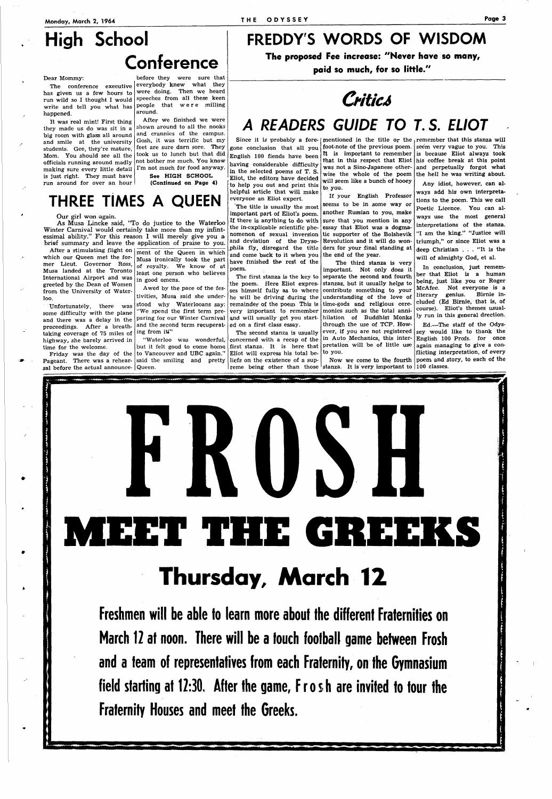## **High School Conference**

#### Dear Mommy:

has given us a few hours to happened.

The conference executive everybody knew what they run wild so I thought I would speeches from all these keen write and tell you what has people that were milling before they were sure that were doing. Then we heard around.

It was real mint! First thing they made us do was sit in a big room with glass all around and smile at the university students. Gee, they're mature, Mom. You should see all the officials running around madly making sure every little detail I'm not much for food anyway. is just right. They must have run around for over an hour

After a stimulating flight on which our Queen met the former Lieut. Governor Ross, Musa landed at the Toronto International Airport and was greeted by the Dean of Women from the University of Waterloo.

After we finished we were shown around to all the nooks and crannies of the campus. Gosh, it was terrific but my feet are sure darn sore. They took us to lunch but that did not bother me much. You know See HIGH SCHOOL

(Continued on Page 4)

## **FREDDY'S WORDS OF WISDOM The proposed Fee increase: "Never have so many,**

**paid so much, for so little."** 

**Critics** 

## **A READERS GUIDE TO T. S. ELIOT**

"Waterloo was wonderful, to Vancouver and UBC again." said the smiling and pretty

## **THREE TIMES A QUEEN**

#### Our girl won again.

As Musa Lincke said, "To do justice to the Waterloo Winter Carnival would certainly take more than my infintessimal ability." For this reason I will merely give you a brief summary and leave the application of praise to you.

Unfortunately, there was some difficulty with the plane and there was a delay in the proceedings. After a breathtaking coverage of 75 miles of highway, she barely arrived in time for the welcome.

Since it is probably a fore-[mentioned in the title or the remember that this stanza will will seem like a bunch of hooey to you.

ment of the Queen in which Musa ironically took the part of royalty. We know of at least one person who believes in good omens.

Friday was the day of the Pageant. There was a rehearsal before the actual announce-Queen.

Awed by the pace of the festivities, Musa said she understood why Waterlooans say: "We spend the first term preparing for our Winter Carnival and will usually get you startand the second term recuperating from iW"

concerned with a recap of the  $\ln$  Auto Mechanics, this interever, if you are not registered pretation will be of little use to you.

reme being other than those stanza. It is very important to 100 classes. Now we come to the fourth

gone conclusion that all you English 100 fiends have been having considerable difficulty in the selected poems of T. S. Eliot, the editors have decided to help you out and print this helpful article that will make everyone an Eliot expert.

The title is usually the most important part of Eliot's poem. If there is anything to do with the in-explicable scientific phenomenon of sexual inversion and deviation of the Drysophila fly, disregard the title and come back to it when you have finished the rest of the poem.

but it felt good to come home first stanza. It is here that The second stanza is usually Eliot will express his total beliefs on the existence of a sup-

The first stanza is the key to the poem. Here Eliot expresses himself fully as to where he will be driving during the remainder of the poem This is very important to remember ed on a first class essay.

If your English Professor seems to be in some way or another Russian to you, make sure that you mention in any essay that Eliot was a dogmatic supporter of the Bolshevik Revolution and it will do wonders for your final standing at the end of the year.

The third stanza is very

important. Not only does it separate the second and fourth stanzas, but it usually helps to contribute something to your understanding of the love of time-gods and religious ceremonies such as the total annihilation of Buddhist Monks through the use of TCP. How-

Any idiot, however, can always add his own interpretations to the poem. This we call Poetic Licence. You can always use the most general interpretations of the stanza. "I am the king." "Justice will triumph," or since Eliot was a deep Christian .. . "It is the will of almighty God, et al.

In conclusion, just remember that Eliot is a human being, just like you or Roger McAfee. Not everyone is a literary genius. Birnie included (Ed Birnie, that is, of course). Eliot's themes usually run in this general drection.

Ed.—The staff of the Odyssey would like to thank the English 100 Profs, for once again managing to give a conflicting interpretation, of every poem and story, to each of the



Freshmen will be able to learn more about the different Fraternities on March 12 at noon. There will be a touch football game between Frosh and a team of representatives from each Fraternity, on the Gymnasium field starting at 12:30. After fhe game, Frosh are invited to tour the Fraternity Houses and meet the Greeks.

-MM

foot-note of the previous poem. seem very vague to you. This It is important to remember is because Eliot always took that in this respect that Eliot his coffee break at this point was not a Sino-Japanese other- and perpetually forgot what wise the whole of the poem the hell he was writing about.